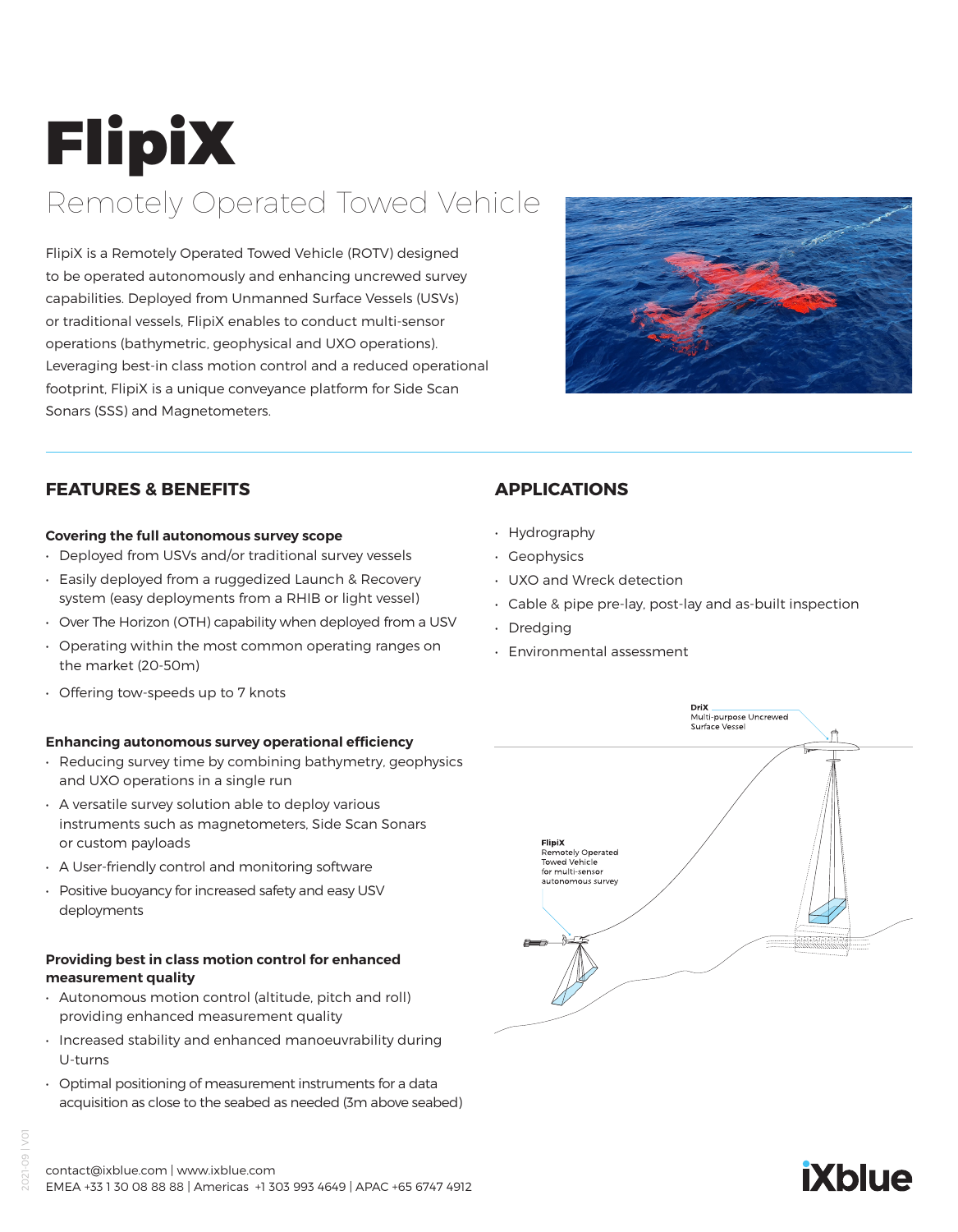# FlipiX Remotely Operated Towed Vehicle

FlipiX is a Remotely Operated Towed Vehicle (ROTV) designed to be operated autonomously and enhancing uncrewed survey capabilities. Deployed from Unmanned Surface Vessels (USVs) or traditional vessels, FlipiX enables to conduct multi-sensor operations (bathymetric, geophysical and UXO operations). Leveraging best-in class motion control and a reduced operational footprint, FlipiX is a unique conveyance platform for Side Scan Sonars (SSS) and Magnetometers.



# **FEATURES & BENEFITS**

#### **Covering the full autonomous survey scope**

- Deployed from USVs and/or traditional survey vessels
- Easily deployed from a ruggedized Launch & Recovery system (easy deployments from a RHIB or light vessel)
- Over The Horizon (OTH) capability when deployed from a USV
- Operating within the most common operating ranges on the market (20-50m)
- Offering tow-speeds up to 7 knots

## **Enhancing autonomous survey operational efficiency**

- Reducing survey time by combining bathymetry, geophysics and UXO operations in a single run
- A versatile survey solution able to deploy various instruments such as magnetometers, Side Scan Sonars or custom payloads
- A User-friendly control and monitoring software
- Positive buoyancy for increased safety and easy USV deployments

## **Providing best in class motion control for enhanced measurement quality**

- Autonomous motion control (altitude, pitch and roll) providing enhanced measurement quality
- Increased stability and enhanced manoeuvrability during U-turns
- Optimal positioning of measurement instruments for a data acquisition as close to the seabed as needed (3m above seabed)

# **APPLICATIONS**

- Hydrography
- Geophysics
- UXO and Wreck detection
- Cable & pipe pre-lay, post-lay and as-built inspection
- Dredging
- Environmental assessment



# **iXblue**